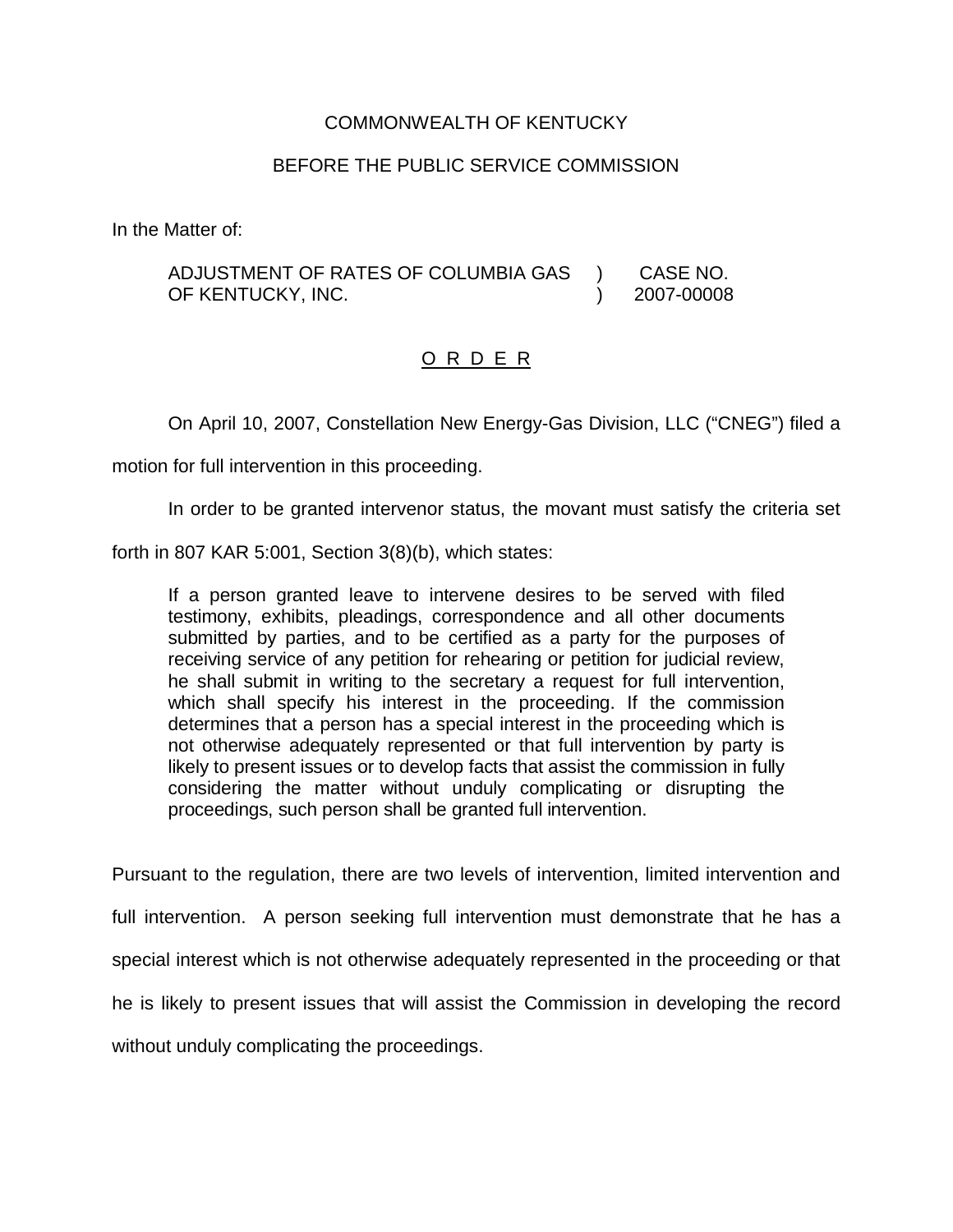## COMMONWEALTH OF KENTUCKY

## BEFORE THE PUBLIC SERVICE COMMISSION

In the Matter of:

ADJUSTMENT OF RATES OF COLUMBIA GAS OF KENTUCKY, INC. ) CASE NO. ) 2007-00008

## O R D E R

On April 10, 2007, Constellation New Energy-Gas Division, LLC ("CNEG") filed a

motion for full intervention in this proceeding.

In order to be granted intervenor status, the movant must satisfy the criteria set

forth in 807 KAR 5:001, Section 3(8)(b), which states:

If a person granted leave to intervene desires to be served with filed testimony, exhibits, pleadings, correspondence and all other documents submitted by parties, and to be certified as a party for the purposes of receiving service of any petition for rehearing or petition for judicial review, he shall submit in writing to the secretary a request for full intervention, which shall specify his interest in the proceeding. If the commission determines that a person has a special interest in the proceeding which is not otherwise adequately represented or that full intervention by party is likely to present issues or to develop facts that assist the commission in fully considering the matter without unduly complicating or disrupting the proceedings, such person shall be granted full intervention.

Pursuant to the regulation, there are two levels of intervention, limited intervention and full intervention. A person seeking full intervention must demonstrate that he has a special interest which is not otherwise adequately represented in the proceeding or that he is likely to present issues that will assist the Commission in developing the record without unduly complicating the proceedings.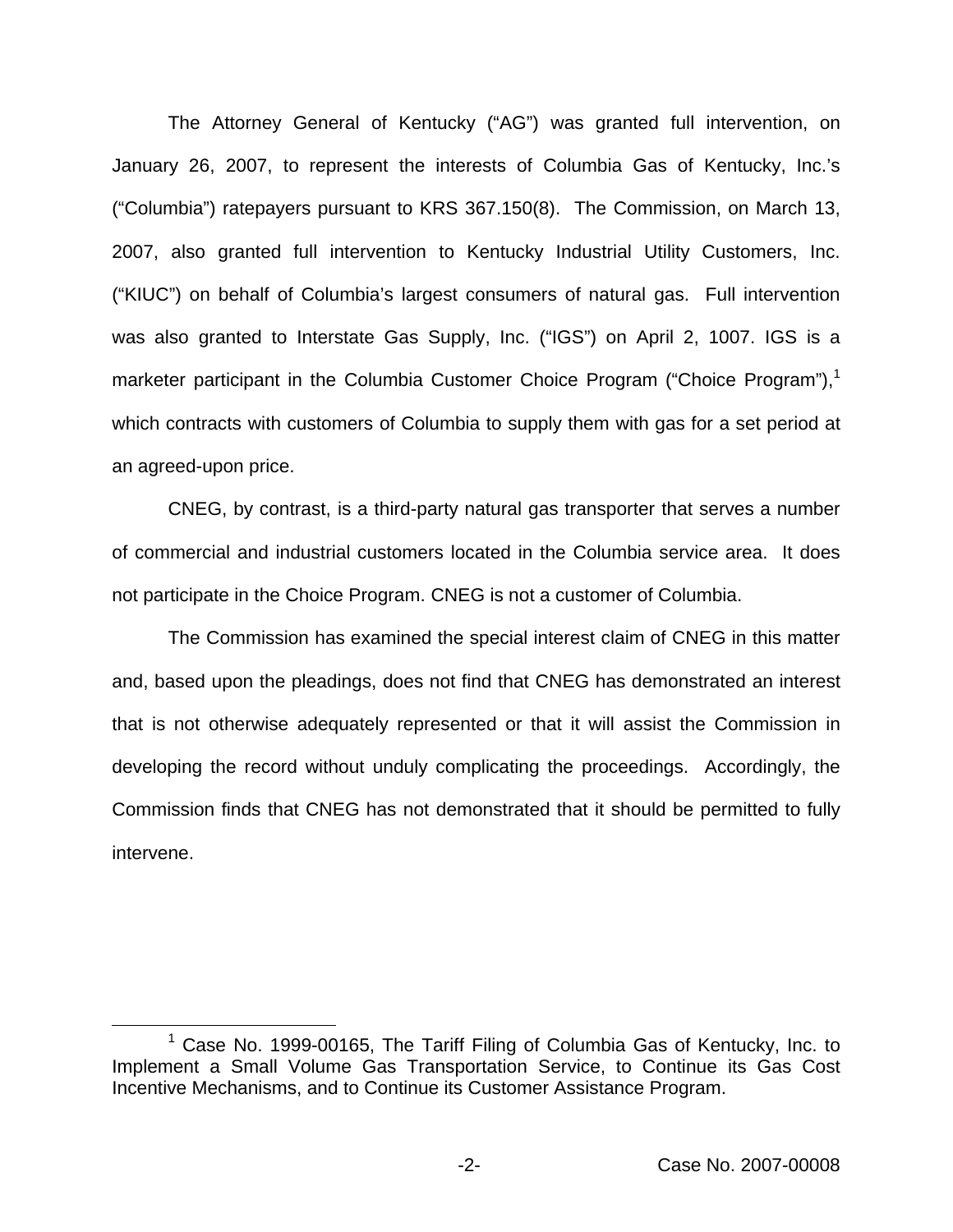The Attorney General of Kentucky ("AG") was granted full intervention, on January 26, 2007, to represent the interests of Columbia Gas of Kentucky, Inc.'s ("Columbia") ratepayers pursuant to KRS 367.150(8). The Commission, on March 13, 2007, also granted full intervention to Kentucky Industrial Utility Customers, Inc. ("KIUC") on behalf of Columbia's largest consumers of natural gas. Full intervention was also granted to Interstate Gas Supply, Inc. ("IGS") on April 2, 1007. IGS is a marketer participant in the Columbia Customer Choice Program ("Choice Program"), $<sup>1</sup>$ </sup> which contracts with customers of Columbia to supply them with gas for a set period at an agreed-upon price.

CNEG, by contrast, is a third-party natural gas transporter that serves a number of commercial and industrial customers located in the Columbia service area. It does not participate in the Choice Program. CNEG is not a customer of Columbia.

The Commission has examined the special interest claim of CNEG in this matter and, based upon the pleadings, does not find that CNEG has demonstrated an interest that is not otherwise adequately represented or that it will assist the Commission in developing the record without unduly complicating the proceedings. Accordingly, the Commission finds that CNEG has not demonstrated that it should be permitted to fully intervene.

 $1$  Case No. 1999-00165, The Tariff Filing of Columbia Gas of Kentucky, Inc. to Implement a Small Volume Gas Transportation Service, to Continue its Gas Cost Incentive Mechanisms, and to Continue its Customer Assistance Program.